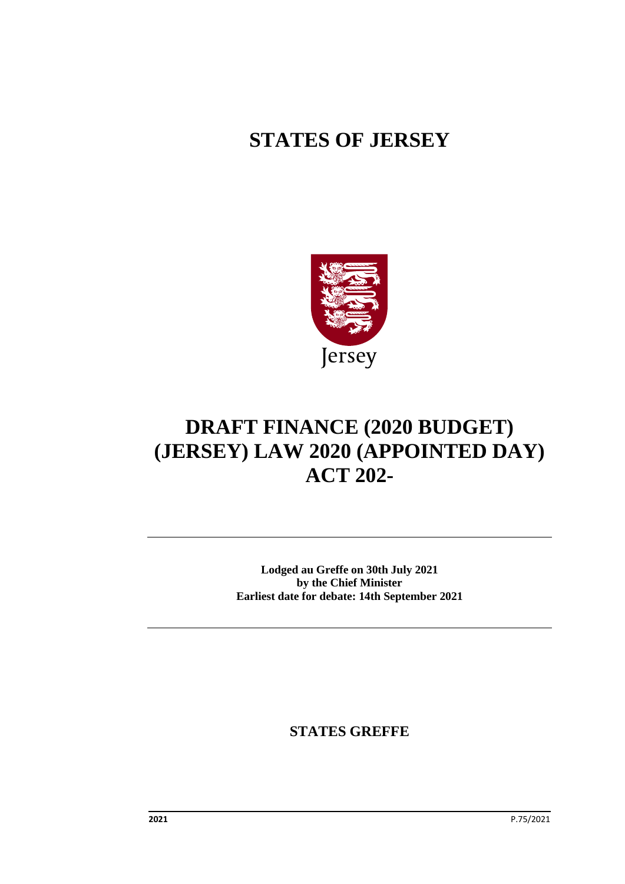## **STATES OF JERSEY**



# **DRAFT FINANCE (2020 BUDGET) (JERSEY) LAW 2020 (APPOINTED DAY) ACT 202-**

**Lodged au Greffe on 30th July 2021 by the Chief Minister Earliest date for debate: 14th September 2021**

**STATES GREFFE**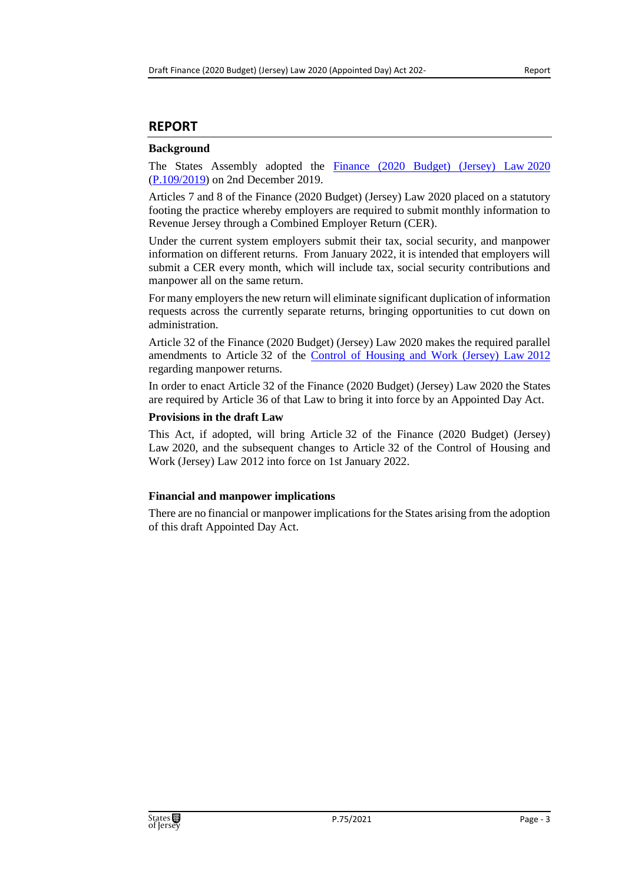#### **REPORT**

#### **Background**

The States Assembly adopted the [Finance \(2020 Budget\) \(Jersey\) Law](https://www.jerseylaw.je/laws/enacted/Pages/L-06-2020.aspx) 2020 [\(P.109/2019\)](https://statesassembly.gov.je/Pages/Propositions.aspx?ref=P.109/2019&refurl=%2fPages%2fPropositions.aspx%3fquery%3dFinance+(2020+Budget)) on 2nd December 2019.

Articles 7 and 8 of the Finance (2020 Budget) (Jersey) Law 2020 placed on a statutory footing the practice whereby employers are required to submit monthly information to Revenue Jersey through a Combined Employer Return (CER).

Under the current system employers submit their tax, social security, and manpower information on different returns. From January 2022, it is intended that employers will submit a CER every month, which will include tax, social security contributions and manpower all on the same return.

For many employers the new return will eliminate significant duplication of information requests across the currently separate returns, bringing opportunities to cut down on administration.

Article 32 of the Finance (2020 Budget) (Jersey) Law 2020 makes the required parallel amendments to Article 32 of the [Control of Housing and Work \(Jersey\) Law](https://www.jerseylaw.je/laws/unofficialconsolidated/Pages/18.150.aspx) 2012 regarding manpower returns.

In order to enact Article 32 of the Finance (2020 Budget) (Jersey) Law 2020 the States are required by Article 36 of that Law to bring it into force by an Appointed Day Act.

#### **Provisions in the draft Law**

This Act, if adopted, will bring Article 32 of the Finance (2020 Budget) (Jersey) Law 2020, and the subsequent changes to Article 32 of the Control of Housing and Work (Jersey) Law 2012 into force on 1st January 2022.

#### **Financial and manpower implications**

There are no financial or manpower implications for the States arising from the adoption of this draft Appointed Day Act.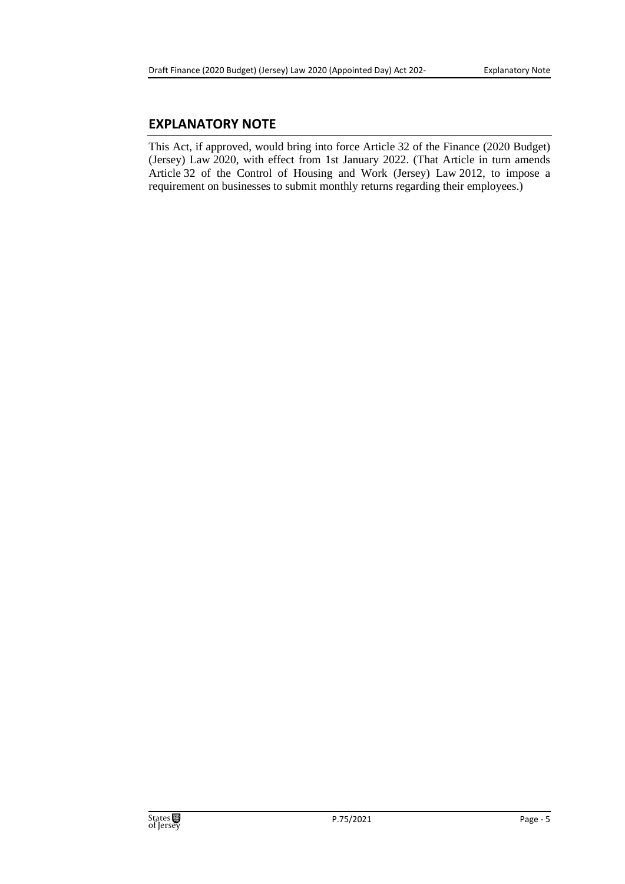#### **EXPLANATORY NOTE**

This Act, if approved, would bring into force Article 32 of the Finance (2020 Budget) (Jersey) Law 2020, with effect from 1st January 2022. (That Article in turn amends Article 32 of the Control of Housing and Work (Jersey) Law 2012, to impose a requirement on businesses to submit monthly returns regarding their employees.)